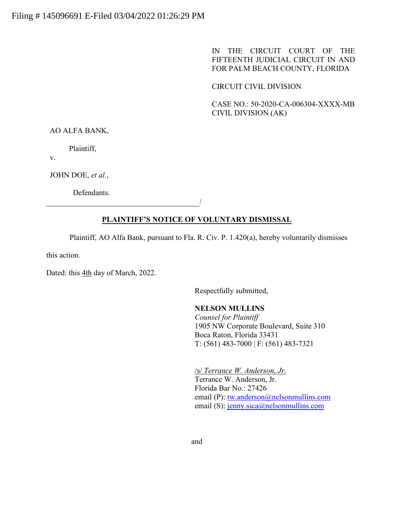IN THE CIRCUIT COURT OF THE FIFTEENTH JUDICIAL CIRCUIT IN AND FOR PALM BEACH COUNTY, FLORIDA

### CIRCUIT CIVIL DIVISION

CASE NO.: 50-2020-CA-006304-XXXX-MB CIVIL DIVISION (AK)

AO ALFA BANK,

Plaintiff,

v.

JOHN DOE, *et al.*,

Defendants.

# **PLAINTIFF'S NOTICE OF VOLUNTARY DISMISSAL**

/

Plaintiff, AO Alfa Bank, pursuant to Fla. R. Civ. P. 1.420(a), hereby voluntarily dismisses

this action.

Dated: this  $4th$  day of March, 2022.

Respectfully submitted,

#### **NELSON MULLINS**

*Counsel for Plaintiff*  1905 NW Corporate Boulevard, Suite 310 Boca Raton, Florida 33431 T: (561) 483-7000 | F: (561) 483-7321

/s/ *Terrance W. Anderson, Jr.* Terrance W. Anderson, Jr. Florida Bar No.: 27426 email (P): [tw.anderson@nelsonmullins.com](mailto:tw.anderson@nelsonmullins.com) email (S): [jenny.sica@nelsonmullins.com](mailto:jenny.sica@nelsonmullins.com)